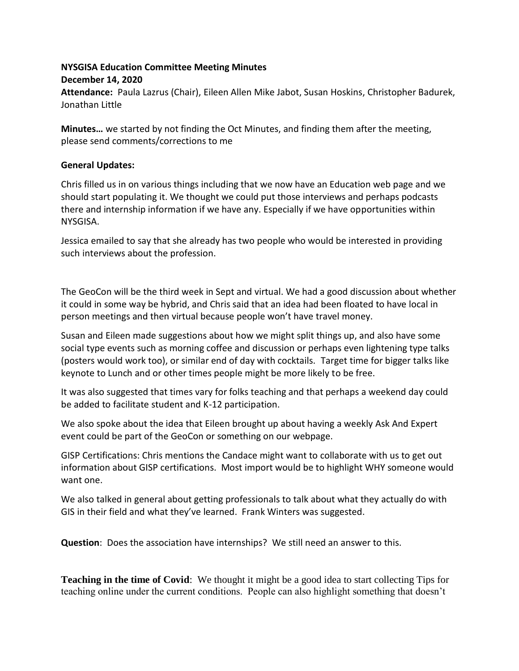## **NYSGISA Education Committee Meeting Minutes**

## **December 14, 2020**

**Attendance:** Paula Lazrus (Chair), Eileen Allen Mike Jabot, Susan Hoskins, Christopher Badurek, Jonathan Little

**Minutes…** we started by not finding the Oct Minutes, and finding them after the meeting, please send comments/corrections to me

## **General Updates:**

Chris filled us in on various things including that we now have an Education web page and we should start populating it. We thought we could put those interviews and perhaps podcasts there and internship information if we have any. Especially if we have opportunities within NYSGISA.

Jessica emailed to say that she already has two people who would be interested in providing such interviews about the profession.

The GeoCon will be the third week in Sept and virtual. We had a good discussion about whether it could in some way be hybrid, and Chris said that an idea had been floated to have local in person meetings and then virtual because people won't have travel money.

Susan and Eileen made suggestions about how we might split things up, and also have some social type events such as morning coffee and discussion or perhaps even lightening type talks (posters would work too), or similar end of day with cocktails. Target time for bigger talks like keynote to Lunch and or other times people might be more likely to be free.

It was also suggested that times vary for folks teaching and that perhaps a weekend day could be added to facilitate student and K-12 participation.

We also spoke about the idea that Eileen brought up about having a weekly Ask And Expert event could be part of the GeoCon or something on our webpage.

GISP Certifications: Chris mentions the Candace might want to collaborate with us to get out information about GISP certifications. Most import would be to highlight WHY someone would want one.

We also talked in general about getting professionals to talk about what they actually do with GIS in their field and what they've learned. Frank Winters was suggested.

**Question**: Does the association have internships? We still need an answer to this.

**Teaching in the time of Covid**: We thought it might be a good idea to start collecting Tips for teaching online under the current conditions. People can also highlight something that doesn't